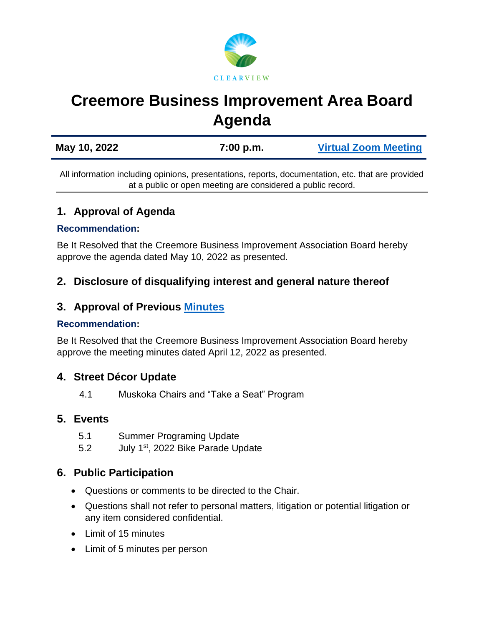

# **Creemore Business Improvement Area Board Agenda**

| May 10, 2022 | 7:00 p.m. | <b>Virtual Zoom Meeting</b> |
|--------------|-----------|-----------------------------|
|              |           |                             |

All information including opinions, presentations, reports, documentation, etc. that are provided at a public or open meeting are considered a public record.

# **1. Approval of Agenda**

#### **Recommendation:**

Be It Resolved that the Creemore Business Improvement Association Board hereby approve the agenda dated May 10, 2022 as presented.

# **2. Disclosure of disqualifying interest and general nature thereof**

## **3. Approval of Previous [Minutes](https://www.clearview.ca/sites/default/files/uploads/publications/2022-04-12_creemore_bia_board_of_management_meeting_minutes.pdf)**

#### **Recommendation:**

Be It Resolved that the Creemore Business Improvement Association Board hereby approve the meeting minutes dated April 12, 2022 as presented.

## **4. Street Décor Update**

4.1 Muskoka Chairs and "Take a Seat" Program

#### **5. Events**

- 5.1 Summer Programing Update
- 5.2 July 1<sup>st</sup>, 2022 Bike Parade Update

## **6. Public Participation**

- Questions or comments to be directed to the Chair.
- Questions shall not refer to personal matters, litigation or potential litigation or any item considered confidential.
- Limit of 15 minutes
- Limit of 5 minutes per person